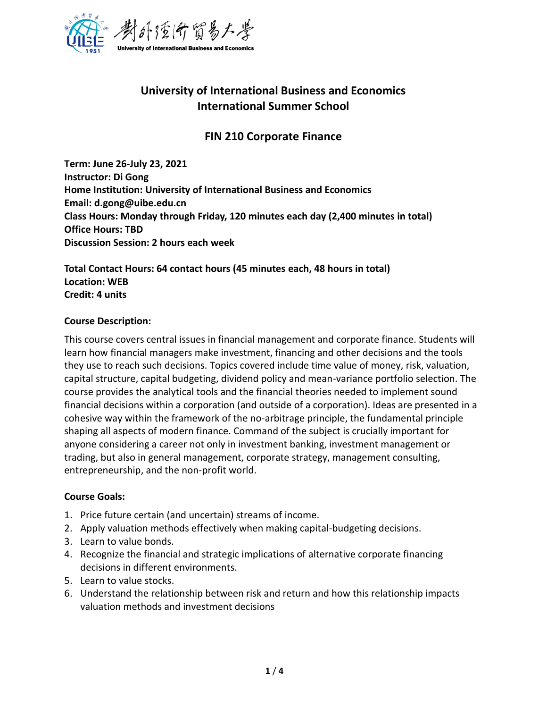

# **University of International Business and Economics International Summer School**

## **FIN 210 Corporate Finance**

**Term: June 26-July 23, 2021 Instructor: Di Gong Home Institution: University of International Business and Economics Email: d.gong@uibe.edu.cn Class Hours: Monday through Friday, 120 minutes each day (2,400 minutes in total) Office Hours: TBD Discussion Session: 2 hours each week** 

**Total Contact Hours: 64 contact hours (45 minutes each, 48 hours in total) Location: WEB Credit: 4 units**

## **Course Description:**

This course covers central issues in financial management and corporate finance. Students will learn how financial managers make investment, financing and other decisions and the tools they use to reach such decisions. Topics covered include time value of money, risk, valuation, capital structure, capital budgeting, dividend policy and mean-variance portfolio selection. The course provides the analytical tools and the financial theories needed to implement sound financial decisions within a corporation (and outside of a corporation). Ideas are presented in a cohesive way within the framework of the no-arbitrage principle, the fundamental principle shaping all aspects of modern finance. Command of the subject is crucially important for anyone considering a career not only in investment banking, investment management or trading, but also in general management, corporate strategy, management consulting, entrepreneurship, and the non-profit world.

## **Course Goals:**

- 1. Price future certain (and uncertain) streams of income.
- 2. Apply valuation methods effectively when making capital-budgeting decisions.
- 3. Learn to value bonds.
- 4. Recognize the financial and strategic implications of alternative corporate financing decisions in different environments.
- 5. Learn to value stocks.
- 6. Understand the relationship between risk and return and how this relationship impacts valuation methods and investment decisions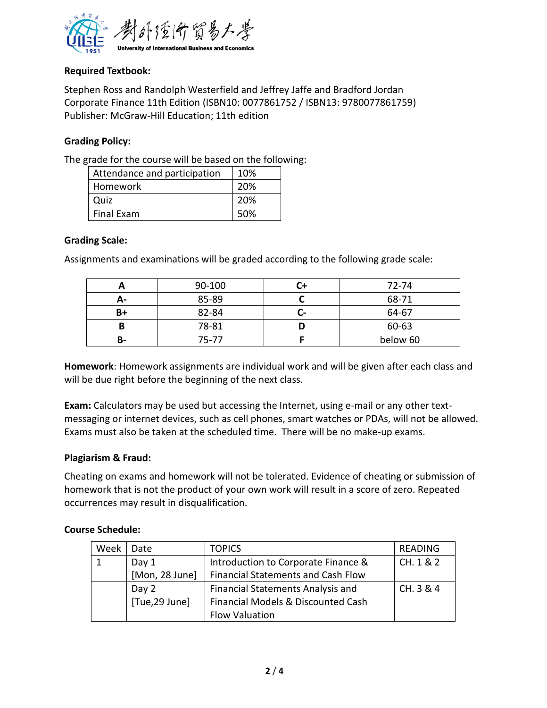

## **Required Textbook:**

Stephen Ross and Randolph Westerfield and Jeffrey Jaffe and Bradford Jordan Corporate Finance 11th Edition (ISBN10: 0077861752 / ISBN13: 9780077861759) Publisher: McGraw-Hill Education; 11th edition

## **Grading Policy:**

The grade for the course will be based on the following:

| Attendance and participation | 10% |
|------------------------------|-----|
| Homework                     | 20% |
| Quiz                         | 20% |
| <b>Final Exam</b>            | 50% |

## **Grading Scale:**

Assignments and examinations will be graded according to the following grade scale:

|    | 90-100 |     | 72-74    |
|----|--------|-----|----------|
| д- | 85-89  |     | 68-71    |
| B+ | 82-84  | . . | 64-67    |
| В  | 78-81  |     | 60-63    |
| B- | 75-77  |     | below 60 |

**Homework**: Homework assignments are individual work and will be given after each class and will be due right before the beginning of the next class.

**Exam:** Calculators may be used but accessing the Internet, using e-mail or any other textmessaging or internet devices, such as cell phones, smart watches or PDAs, will not be allowed. Exams must also be taken at the scheduled time. There will be no make-up exams.

## **Plagiarism & Fraud:**

Cheating on exams and homework will not be tolerated. Evidence of cheating or submission of homework that is not the product of your own work will result in a score of zero. Repeated occurrences may result in disqualification.

## **Course Schedule:**

| Week | Date           | <b>TOPICS</b>                             | <b>READING</b> |
|------|----------------|-------------------------------------------|----------------|
|      | Day 1          | Introduction to Corporate Finance &       | CH. 1 & 2      |
|      | [Mon, 28 June] | <b>Financial Statements and Cash Flow</b> |                |
|      | Day 2          | <b>Financial Statements Analysis and</b>  | CH. 3 & 4      |
|      | [Tue,29 June]  | Financial Models & Discounted Cash        |                |
|      |                | <b>Flow Valuation</b>                     |                |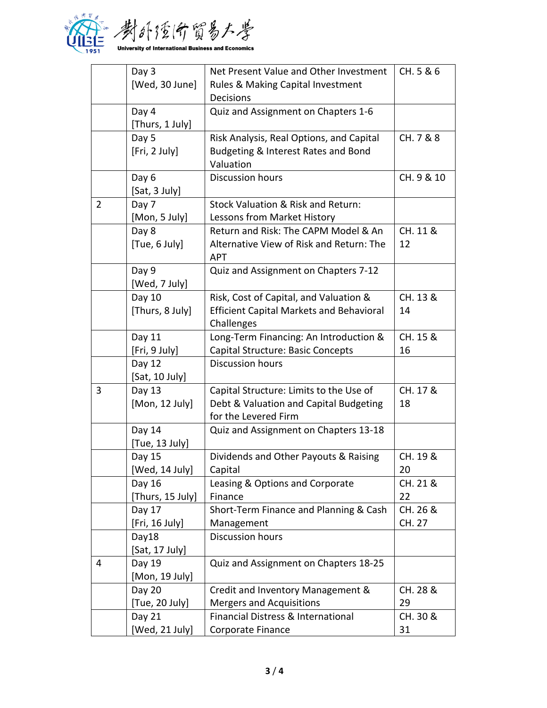

|                | Day 3            | Net Present Value and Other Investment          | CH. 5 & 6  |
|----------------|------------------|-------------------------------------------------|------------|
|                | [Wed, 30 June]   | Rules & Making Capital Investment               |            |
|                |                  | <b>Decisions</b>                                |            |
|                | Day 4            | Quiz and Assignment on Chapters 1-6             |            |
|                | [Thurs, 1 July]  |                                                 |            |
|                | Day 5            | Risk Analysis, Real Options, and Capital        | CH. 7 & 8  |
|                | [Fri, 2 July]    | Budgeting & Interest Rates and Bond             |            |
|                |                  | Valuation                                       |            |
|                | Day 6            | Discussion hours                                | CH. 9 & 10 |
|                | [Sat, 3 July]    |                                                 |            |
| $\overline{2}$ | Day 7            | Stock Valuation & Risk and Return:              |            |
|                | [Mon, 5 July]    | Lessons from Market History                     |            |
|                | Day 8            | Return and Risk: The CAPM Model & An            | CH. 11 &   |
|                | [Tue, 6 July]    | Alternative View of Risk and Return: The        | 12         |
|                |                  | <b>APT</b>                                      |            |
|                | Day 9            | Quiz and Assignment on Chapters 7-12            |            |
|                | [Wed, 7 July]    |                                                 |            |
|                | Day 10           | Risk, Cost of Capital, and Valuation &          | CH. 13 &   |
|                | [Thurs, 8 July]  | <b>Efficient Capital Markets and Behavioral</b> | 14         |
|                |                  | Challenges                                      |            |
|                | Day 11           | Long-Term Financing: An Introduction &          | CH. 15 &   |
|                | [Fri, 9 July]    | Capital Structure: Basic Concepts               | 16         |
|                | Day 12           | Discussion hours                                |            |
|                | [Sat, 10 July]   |                                                 |            |
| 3              | Day 13           | Capital Structure: Limits to the Use of         | CH. 17 &   |
|                | [Mon, 12 July]   | Debt & Valuation and Capital Budgeting          | 18         |
|                |                  | for the Levered Firm                            |            |
|                | Day 14           | Quiz and Assignment on Chapters 13-18           |            |
|                | [Tue, 13 July]   |                                                 |            |
|                | Day 15           | Dividends and Other Payouts & Raising           | CH. 19 &   |
|                | [Wed, 14 July]   | Capital                                         | 20         |
|                | Day 16           | Leasing & Options and Corporate                 | CH. 21 &   |
|                | [Thurs, 15 July] | Finance                                         | 22         |
|                | Day 17           | Short-Term Finance and Planning & Cash          | CH. 26 &   |
|                | [Fri, 16 July]   | Management                                      | CH. 27     |
|                | Day18            | Discussion hours                                |            |
|                | [Sat, 17 July]   |                                                 |            |
| 4              | Day 19           | Quiz and Assignment on Chapters 18-25           |            |
|                | [Mon, 19 July]   |                                                 |            |
|                | Day 20           | Credit and Inventory Management &               | CH. 28 &   |
|                | [Tue, 20 July]   | <b>Mergers and Acquisitions</b>                 | 29         |
|                | Day 21           | Financial Distress & International              | CH. 30 &   |
|                | [Wed, 21 July]   | Corporate Finance                               | 31         |